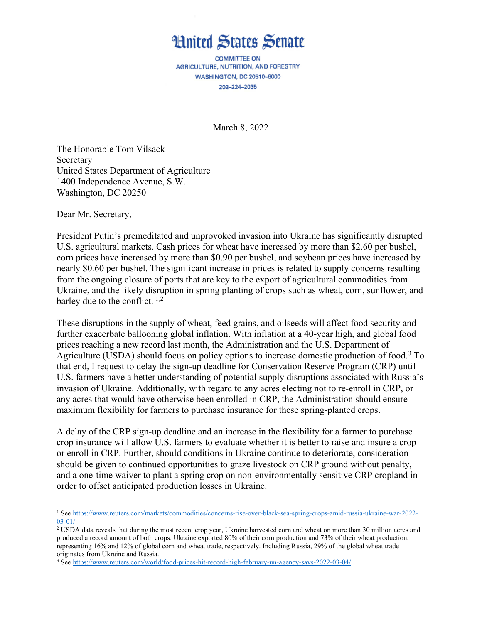## **Hnited States Senate**

**COMMITTEE ON** AGRICULTURE, NUTRITION, AND FORESTRY WASHINGTON, DC 20510-6000 202-224-2035

March 8, 2022

The Honorable Tom Vilsack Secretary United States Department of Agriculture 1400 Independence Avenue, S.W. Washington, DC 20250

Dear Mr. Secretary,

 $\overline{a}$ 

President Putin's premeditated and unprovoked invasion into Ukraine has significantly disrupted U.S. agricultural markets. Cash prices for wheat have increased by more than \$2.60 per bushel, corn prices have increased by more than \$0.90 per bushel, and soybean prices have increased by nearly \$0.60 per bushel. The significant increase in prices is related to supply concerns resulting from the ongoing closure of ports that are key to the export of agricultural commodities from Ukraine, and the likely disruption in spring planting of crops such as wheat, corn, sunflower, and barley due to the conflict.  $1,2$  $1,2$  $1,2$ 

These disruptions in the supply of wheat, feed grains, and oilseeds will affect food security and further exacerbate ballooning global inflation. With inflation at a 40-year high, and global food prices reaching a new record last month, the Administration and the U.S. Department of Agriculture (USDA) should focus on policy options to increase domestic production of food.[3](#page-0-2) To that end, I request to delay the sign-up deadline for Conservation Reserve Program (CRP) until U.S. farmers have a better understanding of potential supply disruptions associated with Russia's invasion of Ukraine. Additionally, with regard to any acres electing not to re-enroll in CRP, or any acres that would have otherwise been enrolled in CRP, the Administration should ensure maximum flexibility for farmers to purchase insurance for these spring-planted crops.

A delay of the CRP sign-up deadline and an increase in the flexibility for a farmer to purchase crop insurance will allow U.S. farmers to evaluate whether it is better to raise and insure a crop or enroll in CRP. Further, should conditions in Ukraine continue to deteriorate, consideration should be given to continued opportunities to graze livestock on CRP ground without penalty, and a one-time waiver to plant a spring crop on non-environmentally sensitive CRP cropland in order to offset anticipated production losses in Ukraine.

<span id="page-0-0"></span><sup>1</sup> Se[e https://www.reuters.com/markets/commodities/concerns-rise-over-black-sea-spring-crops-amid-russia-ukraine-war-2022-](https://www.reuters.com/markets/commodities/concerns-rise-over-black-sea-spring-crops-amid-russia-ukraine-war-2022-03-01/) [03-01/](https://www.reuters.com/markets/commodities/concerns-rise-over-black-sea-spring-crops-amid-russia-ukraine-war-2022-03-01/)

<span id="page-0-1"></span><sup>&</sup>lt;sup>2</sup> USDA data reveals that during the most recent crop year, Ukraine harvested corn and wheat on more than 30 million acres and produced a record amount of both crops. Ukraine exported 80% of their corn production and 73% of their wheat production, representing 16% and 12% of global corn and wheat trade, respectively. Including Russia, 29% of the global wheat trade originates from Ukraine and Russia.

<span id="page-0-2"></span><sup>3</sup> Se[e https://www.reuters.com/world/food-prices-hit-record-high-february-un-agency-says-2022-03-04/](https://www.reuters.com/world/food-prices-hit-record-high-february-un-agency-says-2022-03-04/)